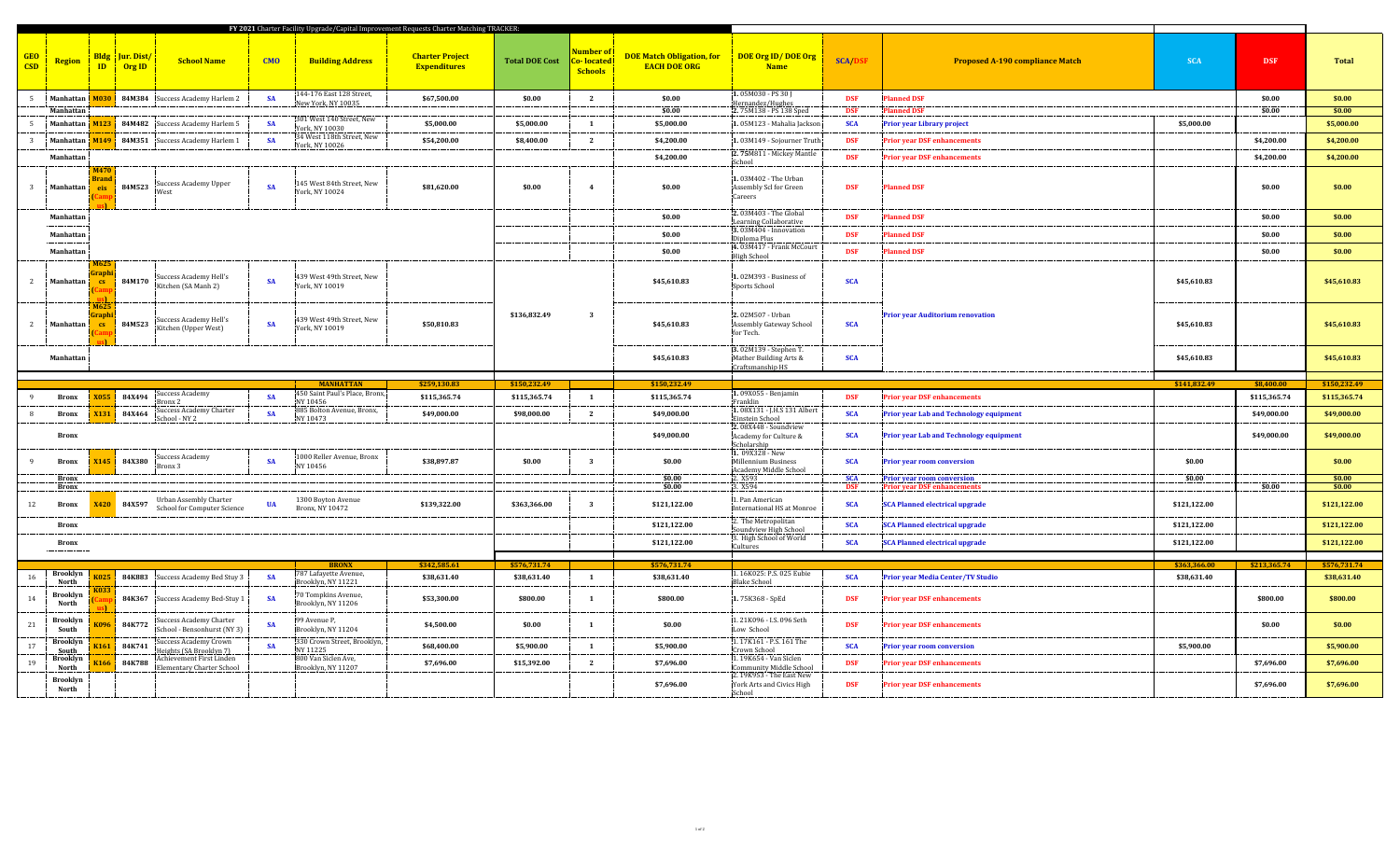| FY 2021 Charter Facility Upgrade/Capital Improvement Requests Charter Matching TRACKER: |                        |                                             |                                                                                  |            |                                                                 |                                               |                       |                                                         |                                                         |                                                                                   |                          |                                                                                                  |              |                            |                             |
|-----------------------------------------------------------------------------------------|------------------------|---------------------------------------------|----------------------------------------------------------------------------------|------------|-----------------------------------------------------------------|-----------------------------------------------|-----------------------|---------------------------------------------------------|---------------------------------------------------------|-----------------------------------------------------------------------------------|--------------------------|--------------------------------------------------------------------------------------------------|--------------|----------------------------|-----------------------------|
| <b>GEO</b><br>Region<br>CSD                                                             |                        | <b>Bldg</b> Jur. Dist<br>$ID \qquad$ Org ID | <b>School Name</b>                                                               | <b>CMO</b> | <b>Building Address</b>                                         | <b>Charter Project</b><br><b>Expenditures</b> | <b>Total DOE Cost</b> | <mark>Number of</mark><br>Co- located<br><b>Schools</b> | <b>DOE Match Obligation, for</b><br><b>EACH DOE ORG</b> | DOE Org ID/DOE Org<br><b>Name</b>                                                 | <b>SCA/DSF</b>           | <b>Proposed A-190 compliance Match</b>                                                           | <b>SCA</b>   | <b>DSF</b>                 | <b>Total</b>                |
| $5 -$<br>Manhattan                                                                      |                        |                                             | 84M384 Success Academy Harlem 2                                                  | <b>SA</b>  | 144-176 East 128 Street,<br>Vew York, NY 10035                  | \$67,500.00                                   | \$0.00                | <sup>2</sup>                                            | \$0.00                                                  | 1.05M030 - PS 30 J<br>Hernandez/Hughes                                            | <b>DSF</b>               | <b>Planned DSF</b>                                                                               |              | \$0.00                     | \$0.00                      |
| Manhattan                                                                               |                        |                                             |                                                                                  |            |                                                                 |                                               |                       |                                                         | \$0.00                                                  | 2.75M138 - PS 138 Sped                                                            | <b>DSF</b>               | <b>Planned DSF</b>                                                                               |              | \$0.00                     | \$0.00                      |
| Manhattan                                                                               |                        |                                             | 4123 84M482 Success Academy Harlem 5                                             | <b>SA</b>  | 301 West 140 Street, New<br>York, NY 10030                      | \$5,000.00                                    | \$5,000.00            | <b>1</b>                                                | \$5,000.00                                              | 1.05M123 - Mahalia Jackson                                                        | <b>SCA</b>               | <b>Prior year Library project</b>                                                                | \$5,000.00   |                            | \$5,000.00                  |
| 3<br>Manhattan                                                                          | M <sub>149</sub>       |                                             | 84M351 Success Academy Harlem 1                                                  | <b>SA</b>  | 34 West 118th Street, New<br>York, NY 10026                     | \$54,200.00                                   | \$8,400.00            | $\mathbf{2}$                                            | \$4,200.00                                              | 1.03M149 - Sojourner Truth                                                        | <b>DSF</b>               | <b>Prior year DSF enhancements</b>                                                               |              | \$4,200.00                 | \$4,200.00                  |
| Manhattan                                                                               |                        |                                             |                                                                                  |            |                                                                 |                                               |                       |                                                         | \$4,200.00                                              | 2.75M811 - Mickey Mantle<br>School                                                | <b>DSF</b>               | <b>Prior year DSF enhancements</b>                                                               |              | \$4,200.00                 | \$4,200.00                  |
| $\mathcal{R}$<br>Manhattan                                                              | 3rand<br>eis           | 84M523                                      | Success Academy Upper<br>West                                                    | <b>SA</b>  | 145 West 84th Street, New<br>York, NY 10024                     | \$81,620.00                                   | \$0.00                | $\overline{4}$                                          | \$0.00                                                  | 1.03M402 - The Urban<br>Assembly Scl for Green<br>Careers                         | <b>DSF</b>               | <b>Planned DSF</b>                                                                               |              | \$0.00                     | \$0.00                      |
| Manhattan                                                                               |                        |                                             |                                                                                  |            |                                                                 |                                               |                       |                                                         | \$0.00                                                  | 2.03M403 - The Global<br>Learning Collaborative                                   | <b>DSF</b>               | <b>Planned DSF</b>                                                                               |              | \$0.00                     | \$0.00                      |
| Manhattan                                                                               |                        |                                             |                                                                                  |            |                                                                 |                                               |                       |                                                         | \$0.00                                                  | 3.03M404 - Innovation<br>Diploma Plus                                             | <b>DSF</b>               | <b>Planned DSF</b>                                                                               |              | \$0.00                     | \$0.00                      |
| Manhattan                                                                               |                        |                                             |                                                                                  |            |                                                                 |                                               |                       |                                                         | \$0.00                                                  | 4.03M417 - Frank McCourt                                                          | <b>DSF</b>               | <b>Planned DSF</b>                                                                               |              | \$0.00                     | \$0.00                      |
| 2<br>Manhattan                                                                          | <b>CS</b><br>M625      | 84M170                                      | Success Academy Hell's<br>Kitchen (SA Manh 2)                                    | <b>SA</b>  | 139 West 49th Street, New<br>York, NY 10019                     |                                               |                       |                                                         | \$45,610.83                                             | High School<br>1.02M393 - Business of<br>Sports School                            | <b>SCA</b>               |                                                                                                  | \$45,610.83  |                            | \$45,610.83                 |
| $\mathbf{2}$<br>Manhattan                                                               | $\mathbf{c}\mathbf{s}$ | 84M523                                      | Success Academy Hell's<br>Kitchen (Upper West)                                   | <b>SA</b>  | 139 West 49th Street, New<br>York, NY 10019                     | \$50,810.83                                   | \$136,832.49          | $\overline{\mathbf{3}}$                                 | \$45,610.83                                             | 2.02M507 - Urban<br>Assembly Gateway School<br>for Tech.<br>3.02M139 - Stephen T. | <b>SCA</b>               | <b>Prior year Auditorium renovation</b>                                                          | \$45,610.83  |                            | \$45,610.83                 |
| Manhattan                                                                               |                        |                                             |                                                                                  |            |                                                                 |                                               |                       |                                                         | \$45,610.83                                             | Mather Building Arts &                                                            | <b>SCA</b>               |                                                                                                  | \$45,610.83  |                            | \$45,610.83                 |
|                                                                                         |                        |                                             |                                                                                  |            |                                                                 |                                               |                       |                                                         |                                                         | Craftsmanship HS                                                                  |                          |                                                                                                  |              |                            |                             |
|                                                                                         |                        |                                             |                                                                                  |            |                                                                 |                                               |                       |                                                         |                                                         |                                                                                   |                          |                                                                                                  |              |                            |                             |
|                                                                                         |                        |                                             | <b>Success Academy</b>                                                           |            | <b>MANHATTAN</b><br>450 Saint Paul's Place, Bronx,              | \$259,130.83                                  | \$150,232.49          |                                                         | \$150,232.49                                            | 1.09X055 - Benjamin                                                               |                          |                                                                                                  | \$141,832.49 | \$8,400.00                 | \$150,232.49                |
| <b>Bronx</b>                                                                            | <b>X055</b>            | <b>84X494</b>                               | 3ronx 2<br>Success Academy Charter                                               | <b>SA</b>  | NY 10456<br>885 Bolton Avenue, Bronx,                           | \$115,365.74                                  | \$115,365.74          | $\mathbf{1}$                                            | \$115,365.74                                            | Franklin<br>1.08X131 - J.H.S 131 Albert                                           | <b>DSF</b>               | <b>Prior year DSF enhancements</b>                                                               |              | \$115,365.74               | \$115,365.74                |
| <b>Bronx</b><br><b>Bronx</b>                                                            | X131                   | 84X464                                      | School - NY 2                                                                    | <b>SA</b>  | VY 10473                                                        | \$49,000.00                                   | \$98,000.00           | $\overline{2}$                                          | \$49,000.00<br>\$49,000.00                              | Einstein School<br>2.08X448 - Soundview<br>Academy for Culture &                  | <b>SCA</b><br><b>SCA</b> | <b>Prior year Lab and Technology equipment</b><br><b>Prior year Lab and Technology equipment</b> |              | \$49,000.00<br>\$49,000.00 | \$49,000.00<br>\$49,000.00  |
| <b>Bronx</b>                                                                            | (145)                  | <b>84X380</b>                               | Success Academy<br>Bronx 3                                                       | <b>SA</b>  | 1000 Reller Avenue, Bronx<br>NY 10456                           | \$38,897.87                                   | \$0.00                | $\overline{\mathbf{3}}$                                 | \$0.00                                                  | Scholarship<br>1. 09X328 - New<br><b>Millennium Business</b>                      | <b>SCA</b>               | Prior year room conversion                                                                       | \$0.00       |                            | \$0.00                      |
| <b>Bronx</b>                                                                            |                        |                                             |                                                                                  |            |                                                                 |                                               |                       |                                                         | \$0.00                                                  | Academy Middle School<br>2. X593                                                  | <b>SCA</b>               |                                                                                                  | \$0.00       |                            | \$0.00                      |
| <b>Bronx</b>                                                                            |                        |                                             |                                                                                  |            |                                                                 |                                               |                       |                                                         | \$0.00                                                  | 3. X594                                                                           | <b>DSF</b>               | <b>Prior year room conversion</b><br><b>Prior year DSF enhancements</b>                          |              | \$0.00                     | \$0.00                      |
| 12<br><b>Bronx</b>                                                                      | $x_{420}$              | 84X597                                      | Urban Assembly Charter<br>School for Computer Science                            | <b>IIA</b> | 1300 Boyton Avenue<br>Bronx, NY 10472                           | \$139,322.00                                  | \$363,366.00          | $\overline{\mathbf{3}}$                                 | \$121,122.00                                            | 1. Pan American<br><b>International HS at Monroe</b>                              | <b>SCA</b>               | <b>SCA Planned electrical upgrade</b>                                                            | \$121,122.00 |                            | \$121,122.00                |
| <b>Bronx</b>                                                                            |                        |                                             |                                                                                  |            |                                                                 |                                               |                       |                                                         | \$121,122.00                                            | 2. The Metropolitan<br>Soundview High School                                      | <b>SCA</b>               | <b>SCA Planned electrical upgrade</b>                                                            | \$121,122.00 |                            | \$121,122.00                |
| <b>Bronx</b>                                                                            |                        |                                             |                                                                                  |            |                                                                 |                                               |                       |                                                         | \$121,122.00                                            | 3. High School of World<br>Cultures                                               | <b>SCA</b>               | <b>SCA Planned electrical upgrade</b>                                                            | \$121,122.00 |                            | \$121,122.00                |
|                                                                                         |                        |                                             |                                                                                  |            | <b>BRONX</b>                                                    | \$342,585.61                                  | \$576,731.74          |                                                         | \$576,731.74                                            |                                                                                   |                          |                                                                                                  | \$363,366.00 |                            |                             |
| <b>Brooklyn</b><br>16<br>North                                                          | 025                    |                                             | 84K883 Success Academy Bed Stuy 3                                                | <b>SA</b>  | 787 Lafayette Avenue                                            | \$38,631.40                                   | \$38,631.40           | $\mathbf{1}$                                            | \$38,631.40                                             | 1.16K025: P.S. 025 Eubie<br><b>Blake School</b>                                   | <b>SCA</b>               | <b>Prior year Media Center/TV Studio</b>                                                         | \$38,631.40  | \$213,365.74               | \$576,731.74<br>\$38,631.40 |
| <b>Brooklyn</b><br>14<br>North                                                          |                        |                                             | 84K367 Success Academy Bed-Stuy 1                                                | <b>SA</b>  | Brooklyn, NY 11221<br>70 Tompkins Avenue,<br>Brooklyn, NY 11206 | \$53,300.00                                   | \$800.00              | $\mathbf{1}$                                            | \$800.00                                                | 1.75K368 - SpEd                                                                   | <b>DSF</b>               | <b>Prior year DSF enhancements</b>                                                               |              | \$800.00                   | \$800.00                    |
| <b>Brooklyn</b><br>$21\,$<br>South                                                      |                        | 84K772                                      | Success Academy Charter<br>School - Bensonhurst (NY 3)                           | <b>SA</b>  | 99 Avenue P,<br>Brooklyn, NY 11204                              | \$4,500.00                                    | \$0.00                | $\mathbf{1}$                                            | \$0.00                                                  | 1.21K096 - I.S. 096 Seth<br>Low School                                            | <b>DSF</b>               | <b>Prior year DSF enhancements</b>                                                               |              | \$0.00                     | \$0.00                      |
| <b>Brooklyn</b><br>17                                                                   | (161)                  | 84K741                                      | Success Academy Crown                                                            | <b>SA</b>  | 330 Crown Street, Brooklyn,                                     | \$68,400.00                                   | \$5,900.00            | <b>1</b>                                                | \$5,900.00                                              | 1.17K161 - P.S. 161 The                                                           | <b>SCA</b>               | <b>Prior year room conversion</b>                                                                | \$5,900.00   |                            | \$5,900.00                  |
| South<br><b>Brooklyn</b><br>19<br><b>North</b>                                          | 3166                   | 84K788                                      | leights (SA Brooklyn 7)<br>Achievement First Linden<br>Elementary Charter School |            | NY 11225<br>800 Van Siclen Ave,<br>Brooklyn, NY 11207           | \$7,696.00                                    | \$15,392.00           | $\mathbf{2}$                                            | \$7,696.00                                              | Crown School<br>1.19K654 - Van Siclen<br><b>Community Middle School</b>           | <b>DSF</b>               | <b>Prior year DSF enhancements</b>                                                               |              | \$7,696.00                 | \$7,696.00                  |